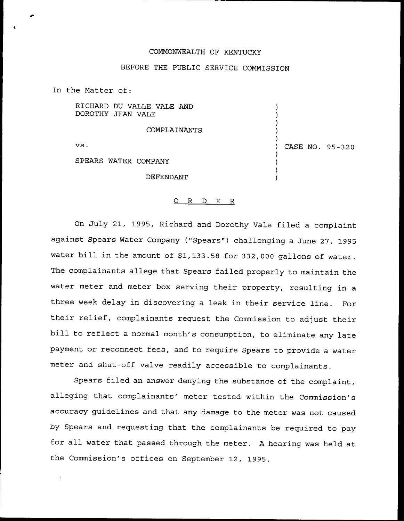## COMMONWEALTH OF KENTUCKY

## BEFORE THE PUBLIC SERVICE COMMISSION

In the Matter of:

RICHARD DU VALLE VALE AND DOROTHY JEAN VALE

COMPLAINANTS

vs

SPEARS WATER COMPANY

) CASE NO. 95-320

) ) ) ) )

) ) ) )

DEFENDANT

## ORDER

On July 21, 1995, Richard and Dorothy Vale filed a complaint against Spears Water Company ("Spears") challenging a June 27, 1995 water bill in the amount of \$1,133.58 for 332,000 gallons of water. The complainants allege that Spears failed properly to maintain the water meter and meter box serving their property, resulting in a three week delay in discovering a leak in their service line. For their relief, complainants request the Commission to adjust their bill to reflect <sup>a</sup> normal month's consumption, to eliminate any late payment or reconnect fees, and to require Spears to provide a water meter and shut-off valve readily accessible to complainants.

Spears filed an answer denying the substance of the complaint, alleging that complainants' meter tested within the Commission's accuracy guidelines and that any damage to the meter was not caused by Spears and requesting that the complainants be required to pay for all water that passed through the meter. <sup>A</sup> hearing was held at the Commission's offices on September 12, 1995.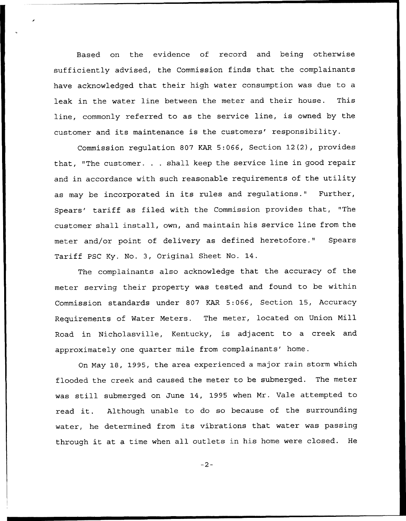Based on the evidence of record and being otherwise sufficiently advised, the Commission finds that the complainants have acknowledged that their high water consumption was due to a leak in the water line between the meter and their house. This line, commonly referred to as the service line, is owned by the customer and its maintenance is the customers' responsibility.

Commission regulation 807 KAR 5:066, Section 12(2), provides that, "The customer. . . shall keep the service line in good repair and in accordance with such reasonable requirements of the utility as may be incorporated in its rules and regulations." Further, Spears' tariff as filed with the Commission provides that, "The customer shall install, own, and maintain his service line from the meter and/or point of delivery as defined heretofore." Spears Tariff PSC Ky. No. 3, Original Sheet No. 14.

The complainants also acknowledge that the accuracy of the meter serving their property was tested and found to be within Commission standards under 807 KAR 5:066, Section 15, Accuracy Requirements of Water Meters. The meter, located on Union Mill Road in Nicholasville, Kentucky, is adjacent to a creek and approximately one quarter mile from complainants' home.

On May 18, 1995, the area experienced a major rain storm which flooded the creek and caused the meter to be submerged. The meter was still submerged on June 14, 1995 when Mr. Vale attempted to read it. Although unable to do so because of the surrounding water, he determined from its vibrations that water was passing through it at <sup>a</sup> time when all outlets in his home were closed. He

 $-2-$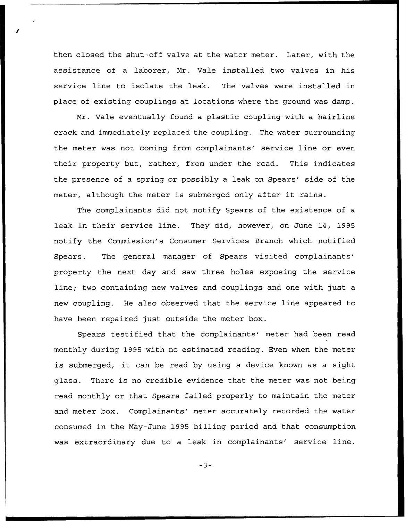then closed the shut-off valve at the water meter. Later, with the assistance of a laborer, Mr. Vale installed two valves in his service line to isolate the leak. The valves were installed in place of existing couplings at locations where the ground was damp.

Mr. Vale eventually found a plastic coupling with a hairline crack and immediately replaced the coupling. The water surrounding the meter was not coming from complainants' service line or even their property but, rather, from under the road. This indicates the presence of a spring or possibly a leak on Spears' side of the meter, although the meter is submerged only after it rains.

The complainants did not notify Spears of the existence of a leak in their service line. They did, however, on June 14, 1995 notify the Commission's Consumer Services Branch which notified Spears. The general manager of Spears visited complainants' property the next day and saw three holes exposing the service line; two containing new valves and couplings and one with just a new coupling. He also observed that the service line appeared to have been repaired just outside the meter box.

Spears testified that the complainants' meter had been read monthly during 1995 with no estimated reading. Even when the meter is submerged, it can be read by using <sup>a</sup> device known as <sup>a</sup> sight glass. There is no credible evidence that the meter was not being read monthly or that Spears failed properly to maintain the meter and meter box. Complainants' meter accurately recorded the water consumed in the May-June 1995 billing period and that consumption was extraordinary due to a leak in complainants' service line.

 $-3-$